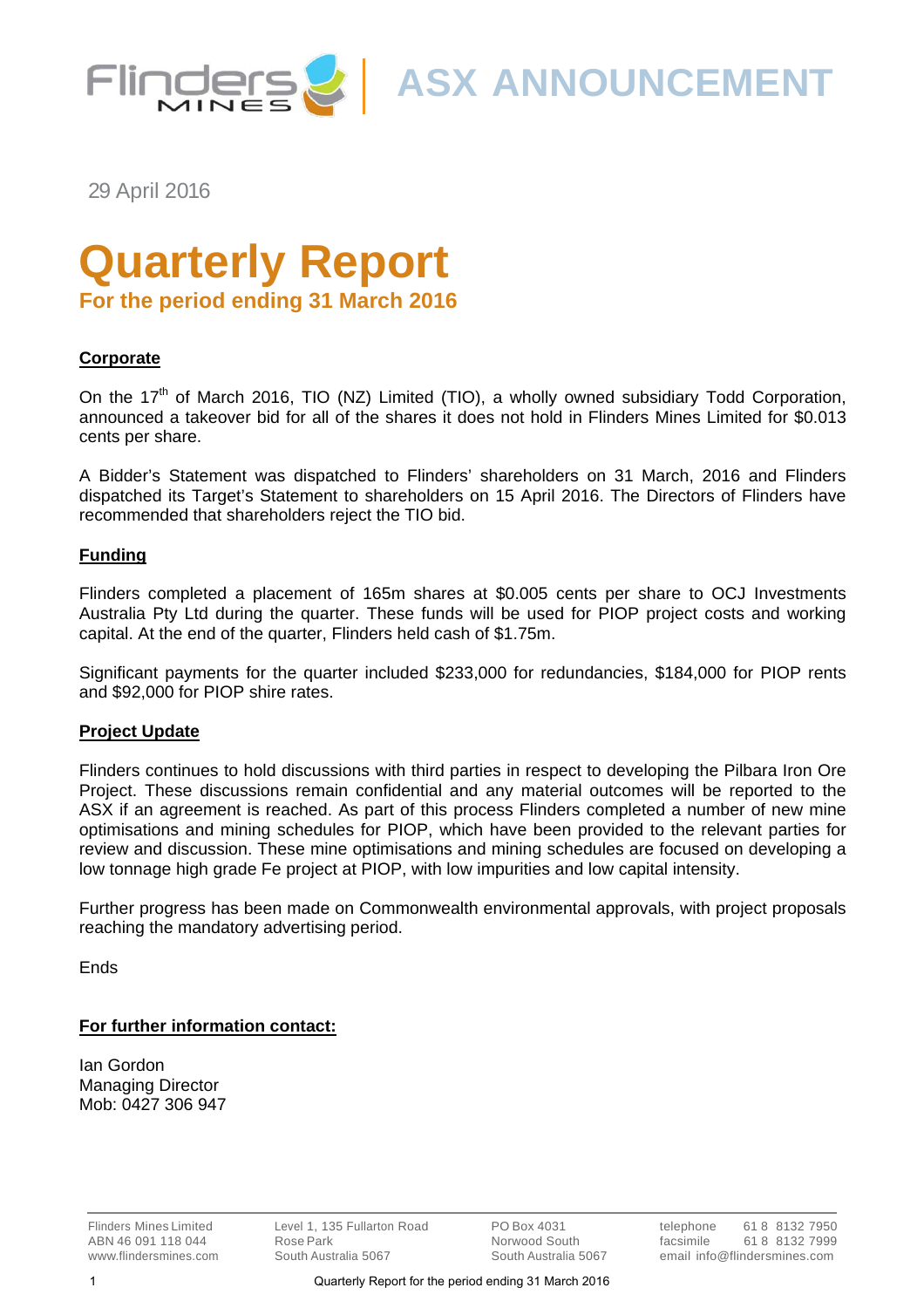

**ASX ANNOUNCEMENT**

29 April 2016

# **Quarterly Report**

**For the period ending 31 March 2016**

#### **Corporate**

On the 17<sup>th</sup> of March 2016, TIO (NZ) Limited (TIO), a wholly owned subsidiary Todd Corporation, announced a takeover bid for all of the shares it does not hold in Flinders Mines Limited for \$0.013 cents per share.

A Bidder's Statement was dispatched to Flinders' shareholders on 31 March, 2016 and Flinders dispatched its Target's Statement to shareholders on 15 April 2016. The Directors of Flinders have recommended that shareholders reject the TIO bid.

#### **Funding**

Flinders completed a placement of 165m shares at \$0.005 cents per share to OCJ Investments Australia Pty Ltd during the quarter. These funds will be used for PIOP project costs and working capital. At the end of the quarter, Flinders held cash of \$1.75m.

Significant payments for the quarter included \$233,000 for redundancies, \$184,000 for PIOP rents and \$92,000 for PIOP shire rates.

#### **Project Update**

Flinders continues to hold discussions with third parties in respect to developing the Pilbara Iron Ore Project. These discussions remain confidential and any material outcomes will be reported to the ASX if an agreement is reached. As part of this process Flinders completed a number of new mine optimisations and mining schedules for PIOP, which have been provided to the relevant parties for review and discussion. These mine optimisations and mining schedules are focused on developing a low tonnage high grade Fe project at PIOP, with low impurities and low capital intensity.

Further progress has been made on Commonwealth environmental approvals, with project proposals reaching the mandatory advertising period.

Ends

#### **For further information contact:**

Ian Gordon Managing Director Mob: 0427 306 947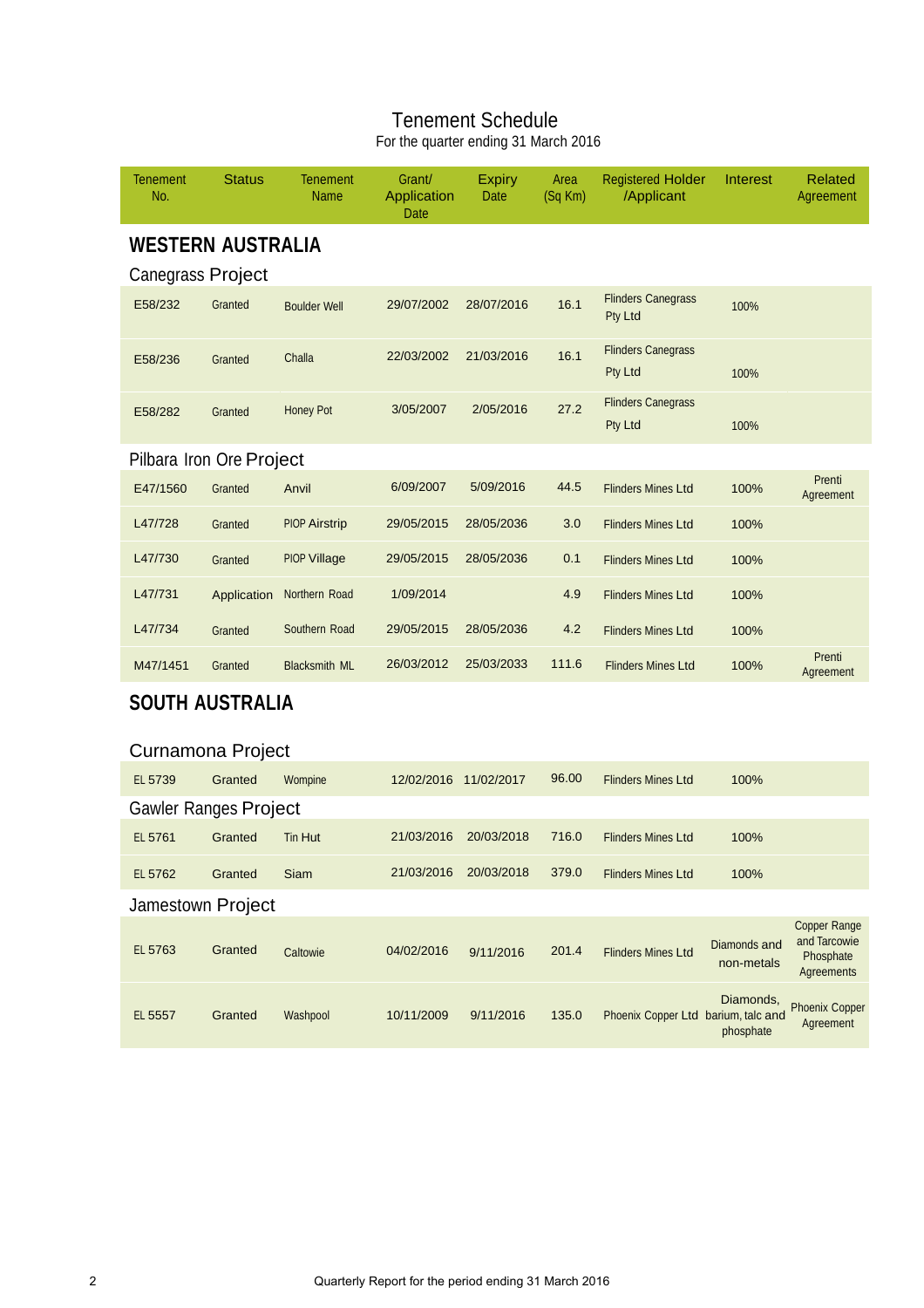## Tenement Schedule

For the quarter ending 31 March 2016

| Tenement<br>No.          | <b>Status</b>                | <b>Tenement</b><br>Name | Grant/<br>Application<br>Date | <b>Expiry</b><br>Date | Area<br>(Sq Km) | <b>Registered Holder</b><br>/Applicant | Interest                          | <b>Related</b><br>Agreement                                    |
|--------------------------|------------------------------|-------------------------|-------------------------------|-----------------------|-----------------|----------------------------------------|-----------------------------------|----------------------------------------------------------------|
|                          | <b>WESTERN AUSTRALIA</b>     |                         |                               |                       |                 |                                        |                                   |                                                                |
| <b>Canegrass Project</b> |                              |                         |                               |                       |                 |                                        |                                   |                                                                |
| E58/232                  | Granted                      | <b>Boulder Well</b>     | 29/07/2002                    | 28/07/2016            | 16.1            | <b>Flinders Canegrass</b><br>Pty Ltd   | 100%                              |                                                                |
| E58/236                  | Granted                      | Challa                  | 22/03/2002                    | 21/03/2016            | 16.1            | <b>Flinders Canegrass</b><br>Pty Ltd   | 100%                              |                                                                |
| E58/282                  | Granted                      | <b>Honey Pot</b>        | 3/05/2007                     | 2/05/2016             | 27.2            | <b>Flinders Canegrass</b><br>Pty Ltd   | 100%                              |                                                                |
|                          | Pilbara Iron Ore Project     |                         |                               |                       |                 |                                        |                                   |                                                                |
| E47/1560                 | Granted                      | Anvil                   | 6/09/2007                     | 5/09/2016             | 44.5            | <b>Flinders Mines Ltd</b>              | 100%                              | Prenti<br>Agreement                                            |
| L47/728                  | Granted                      | <b>PIOP Airstrip</b>    | 29/05/2015                    | 28/05/2036            | 3.0             | <b>Flinders Mines Ltd</b>              | 100%                              |                                                                |
| L47/730                  | Granted                      | <b>PIOP Village</b>     | 29/05/2015                    | 28/05/2036            | 0.1             | <b>Flinders Mines Ltd</b>              | 100%                              |                                                                |
| L47/731                  | Application                  | Northern Road           | 1/09/2014                     |                       | 4.9             | <b>Flinders Mines Ltd</b>              | 100%                              |                                                                |
| L47/734                  | Granted                      | Southern Road           | 29/05/2015                    | 28/05/2036            | 4.2             | <b>Flinders Mines Ltd</b>              | 100%                              |                                                                |
| M47/1451                 | Granted                      | <b>Blacksmith ML</b>    | 26/03/2012                    | 25/03/2033            | 111.6           | <b>Flinders Mines Ltd</b>              | 100%                              | Prenti<br>Agreement                                            |
|                          | <b>SOUTH AUSTRALIA</b>       |                         |                               |                       |                 |                                        |                                   |                                                                |
|                          | Curnamona Project            |                         |                               |                       |                 |                                        |                                   |                                                                |
| EL 5739                  | Granted                      | Wompine                 | 12/02/2016 11/02/2017         |                       | 96.00           | <b>Flinders Mines Ltd</b>              | 100%                              |                                                                |
|                          | <b>Gawler Ranges Project</b> |                         |                               |                       |                 |                                        |                                   |                                                                |
| EL 5761                  | Granted                      | Tin Hut                 | 21/03/2016                    | 20/03/2018            | 716.0           | <b>Flinders Mines Ltd</b>              | 100%                              |                                                                |
| EL 5762                  | Granted                      | Siam                    | 21/03/2016                    | 20/03/2018            | 379.0           | <b>Flinders Mines Ltd</b>              | 100%                              |                                                                |
|                          | Jamestown Project            |                         |                               |                       |                 |                                        |                                   |                                                                |
| EL 5763                  | Granted                      | Caltowie                | 04/02/2016                    | 9/11/2016             | 201.4           | <b>Flinders Mines Ltd</b>              | <b>Diamonds and</b><br>non-metals | <b>Copper Range</b><br>and Tarcowie<br>Phosphate<br>Agreements |
| EL 5557                  | Granted                      | Washpool                | 10/11/2009                    | 9/11/2016             | 135.0           | Phoenix Copper Ltd barium, talc and    | Diamonds,<br>phosphate            | <b>Phoenix Copper</b><br>Agreement                             |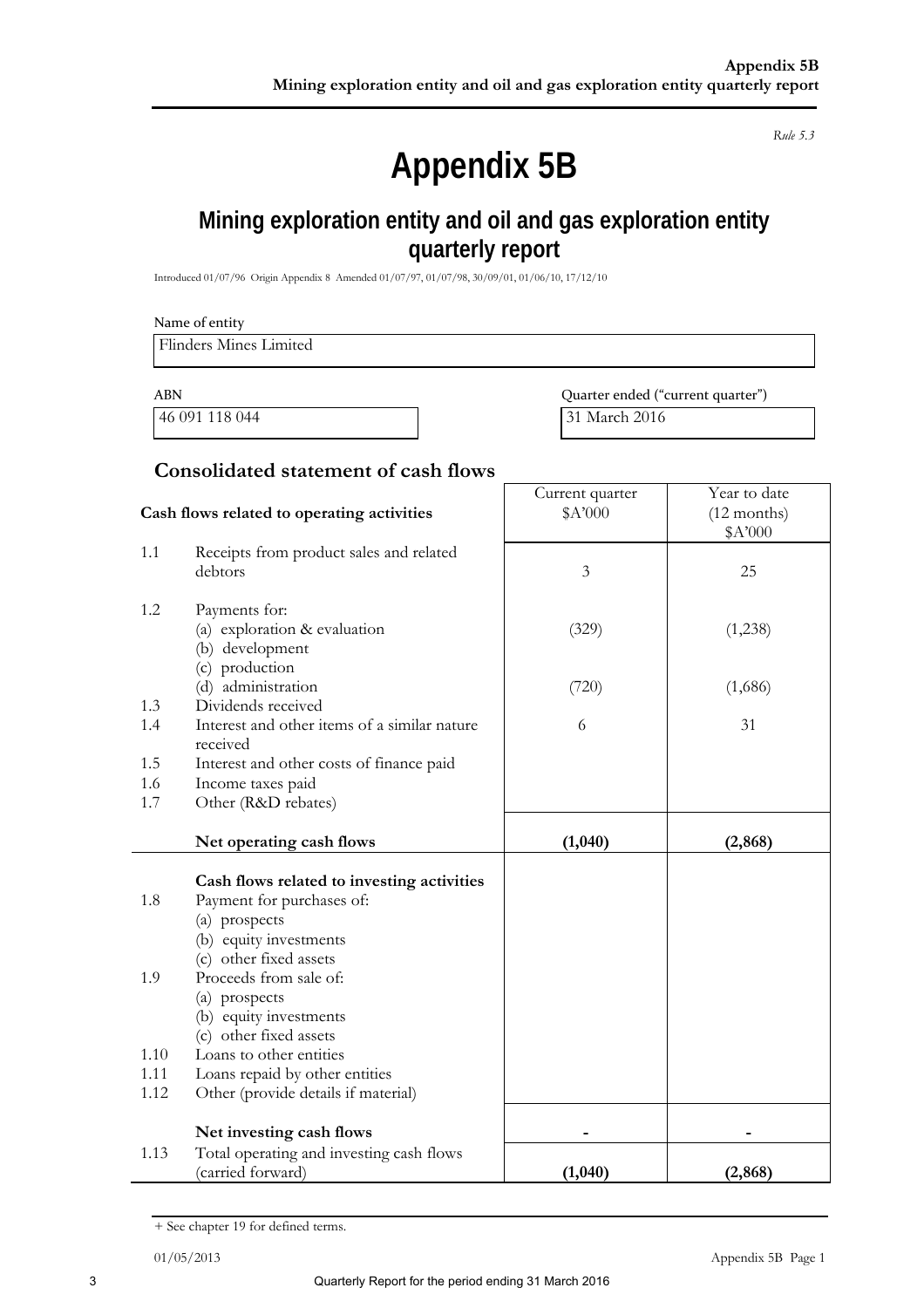*Rule 5.3* 

## **Appendix 5B**

## **Mining exploration entity and oil and gas exploration entity quarterly report**

Introduced 01/07/96 Origin Appendix 8 Amended 01/07/97, 01/07/98, 30/09/01, 01/06/10, 17/12/10

|            | Name of entity<br><b>Flinders Mines Limited</b>                                                                    |                                   |                                          |
|------------|--------------------------------------------------------------------------------------------------------------------|-----------------------------------|------------------------------------------|
|            |                                                                                                                    |                                   |                                          |
| <b>ABN</b> |                                                                                                                    | Quarter ended ("current quarter") |                                          |
|            | 46 091 118 044                                                                                                     | 31 March 2016                     |                                          |
|            | <b>Consolidated statement of cash flows</b>                                                                        |                                   |                                          |
|            | Cash flows related to operating activities                                                                         | Current quarter<br>\$A'000        | Year to date<br>$(12$ months)<br>\$A'000 |
| 1.1        | Receipts from product sales and related<br>debtors                                                                 | 3                                 | 25                                       |
| 1.2        | Payments for:<br>(a) exploration & evaluation<br>(b) development                                                   | (329)                             | (1,238)                                  |
| 1.3        | (c) production<br>(d) administration<br>Dividends received                                                         | (720)                             | (1,686)                                  |
| 1.4        | Interest and other items of a similar nature<br>received                                                           | 6                                 | 31                                       |
| 1.5        | Interest and other costs of finance paid                                                                           |                                   |                                          |
| 1.6<br>1.7 | Income taxes paid<br>Other (R&D rebates)                                                                           |                                   |                                          |
|            | Net operating cash flows                                                                                           | (1,040)                           | (2, 868)                                 |
| 1.8        | Cash flows related to investing activities<br>Payment for purchases of:<br>(a) prospects<br>(b) equity investments |                                   |                                          |

|      | prospects<br>(a)                                              |        |          |
|------|---------------------------------------------------------------|--------|----------|
|      | (b) equity investments                                        |        |          |
|      | (c) other fixed assets                                        |        |          |
| 1.10 | Loans to other entities                                       |        |          |
| 1.11 | Loans repaid by other entities                                |        |          |
| 1.12 | Other (provide details if material)                           |        |          |
|      | Net investing cash flows                                      |        |          |
| 1.13 | Total operating and investing cash flows<br>(carried forward) | (1,040 | (2, 868) |
|      |                                                               |        |          |

<sup>+</sup> See chapter 19 for defined terms.

(c) other fixed assets

1.9 Proceeds from sale of: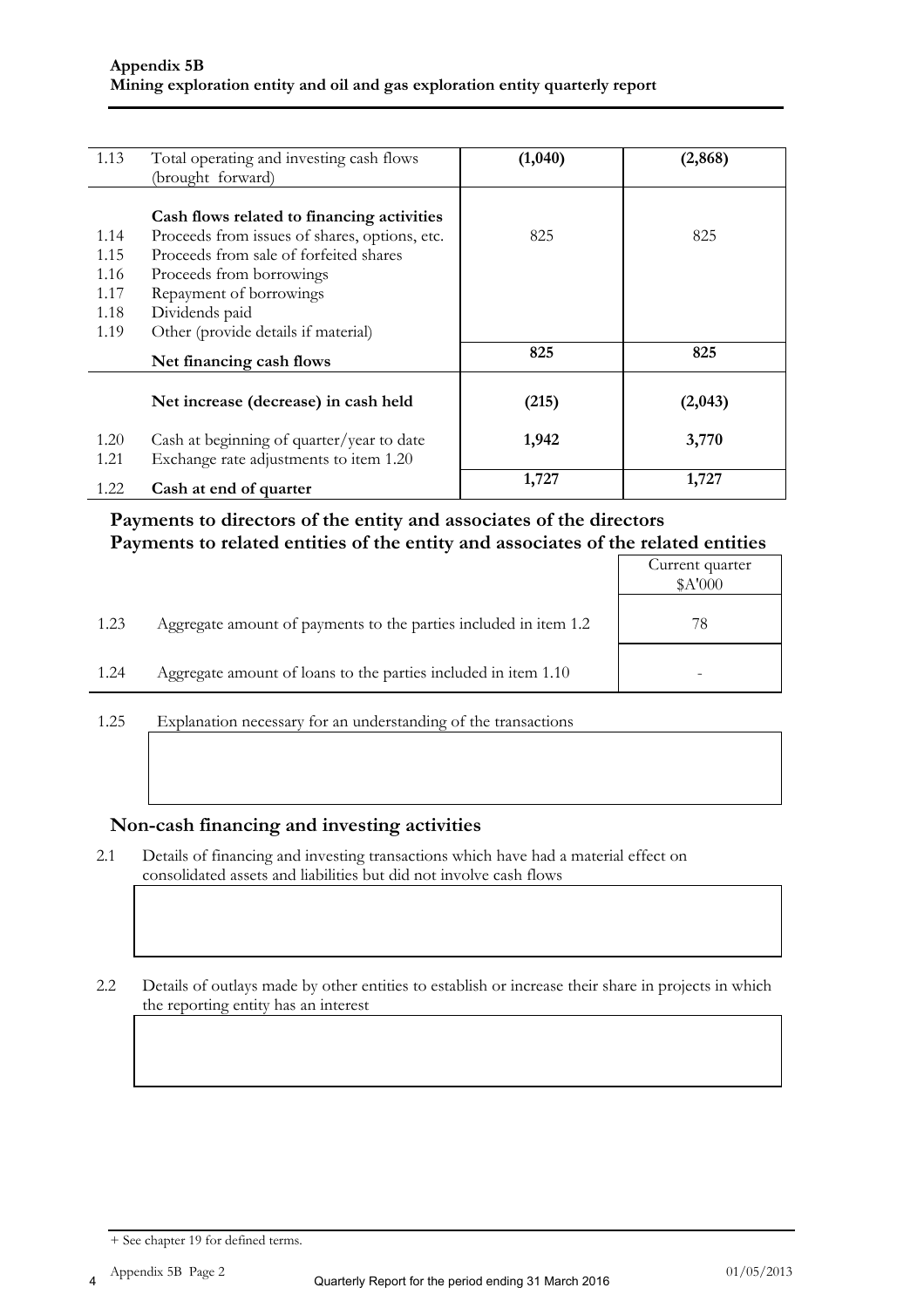| 1.13         | Total operating and investing cash flows                                            | (1,040) | (2, 868) |
|--------------|-------------------------------------------------------------------------------------|---------|----------|
|              | (brought forward)                                                                   |         |          |
|              |                                                                                     |         |          |
|              | Cash flows related to financing activities                                          |         |          |
| 1.14         | Proceeds from issues of shares, options, etc.                                       | 825     | 825      |
| 1.15         | Proceeds from sale of forfeited shares                                              |         |          |
| 1.16         | Proceeds from borrowings                                                            |         |          |
| 1.17         | Repayment of borrowings                                                             |         |          |
| 1.18         | Dividends paid                                                                      |         |          |
| 1.19         | Other (provide details if material)                                                 |         |          |
|              | Net financing cash flows                                                            | 825     | 825      |
|              | Net increase (decrease) in cash held                                                | (215)   | (2,043)  |
| 1.20<br>1.21 | Cash at beginning of quarter/year to date<br>Exchange rate adjustments to item 1.20 | 1,942   | 3,770    |
| 1.22         | Cash at end of quarter                                                              | 1,727   | 1,727    |

#### **Payments to directors of the entity and associates of the directors Payments to related entities of the entity and associates of the related entities**

|      |                                                                  | Current quarter<br>\$A'000 |
|------|------------------------------------------------------------------|----------------------------|
| 1.23 | Aggregate amount of payments to the parties included in item 1.2 | 78                         |
| 1.24 | Aggregate amount of loans to the parties included in item 1.10   |                            |

1.25 Explanation necessary for an understanding of the transactions

#### **Non-cash financing and investing activities**

2.1 Details of financing and investing transactions which have had a material effect on consolidated assets and liabilities but did not involve cash flows

2.2 Details of outlays made by other entities to establish or increase their share in projects in which the reporting entity has an interest

<sup>+</sup> See chapter 19 for defined terms.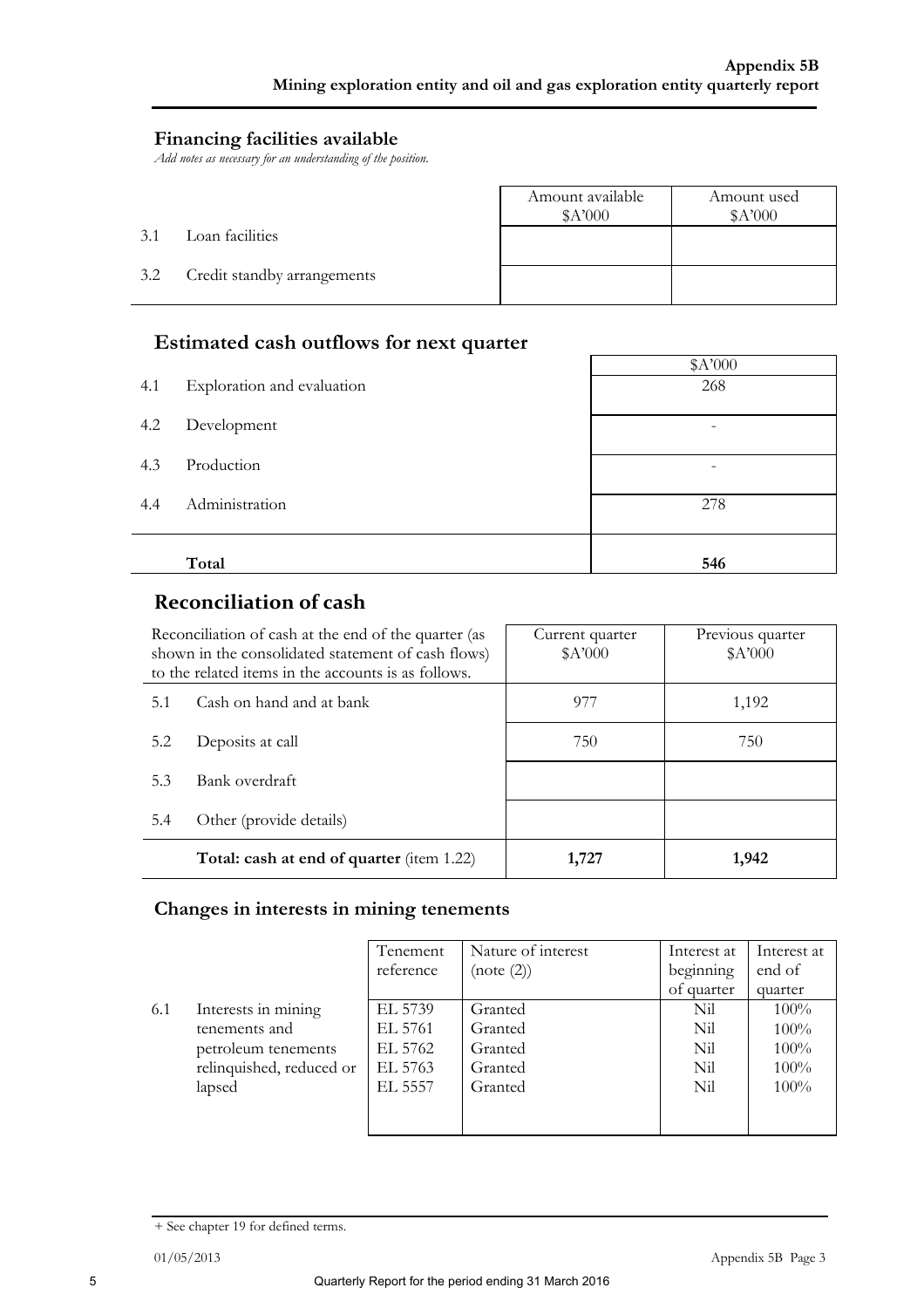#### **Financing facilities available**

*Add notes as necessary for an understanding of the position.* 

|     |                             | Amount available<br>A'000 | Amount used<br>A'000 |
|-----|-----------------------------|---------------------------|----------------------|
| 3.1 | Loan facilities             |                           |                      |
| 3.2 | Credit standby arrangements |                           |                      |

#### **Estimated cash outflows for next quarter**

|     | л.                         | \$A'000         |
|-----|----------------------------|-----------------|
| 4.1 | Exploration and evaluation | 268             |
| 4.2 | Development                |                 |
| 4.3 | Production                 | $\qquad \qquad$ |
| 4.4 | Administration             | 278             |
|     |                            |                 |
|     | Total                      | 546             |

### **Reconciliation of cash**

| Reconciliation of cash at the end of the quarter (as<br>shown in the consolidated statement of cash flows)<br>to the related items in the accounts is as follows. |                                                  | Current quarter<br>A'000 | Previous quarter<br>\$A'000 |
|-------------------------------------------------------------------------------------------------------------------------------------------------------------------|--------------------------------------------------|--------------------------|-----------------------------|
| 5.1                                                                                                                                                               | Cash on hand and at bank                         | 977                      | 1,192                       |
| 5.2                                                                                                                                                               | Deposits at call                                 | 750                      | 750                         |
| 5.3                                                                                                                                                               | Bank overdraft                                   |                          |                             |
| 5.4                                                                                                                                                               | Other (provide details)                          |                          |                             |
|                                                                                                                                                                   | <b>Total: cash at end of quarter</b> (item 1.22) | 1,727                    | 1,942                       |

#### **Changes in interests in mining tenements**

|     |                          | Tenement  | Nature of interest | Interest at | Interest at |
|-----|--------------------------|-----------|--------------------|-------------|-------------|
|     |                          | reference | (note (2))         | beginning   | end of      |
|     |                          |           |                    | of quarter  | quarter     |
| 6.1 | Interests in mining      | EL 5739   | Granted            | Nil         | $100\%$     |
|     | tenements and            | EL 5761   | Granted            | Nil         | $100\%$     |
|     | petroleum tenements      | EL 5762   | Granted            | Nil         | $100\%$     |
|     | relinquished, reduced or | EL 5763   | Granted            | Nil         | $100\%$     |
|     | lapsed                   | EL 5557   | Granted            | Nil         | $100\%$     |
|     |                          |           |                    |             |             |
|     |                          |           |                    |             |             |

<sup>+</sup> See chapter 19 for defined terms.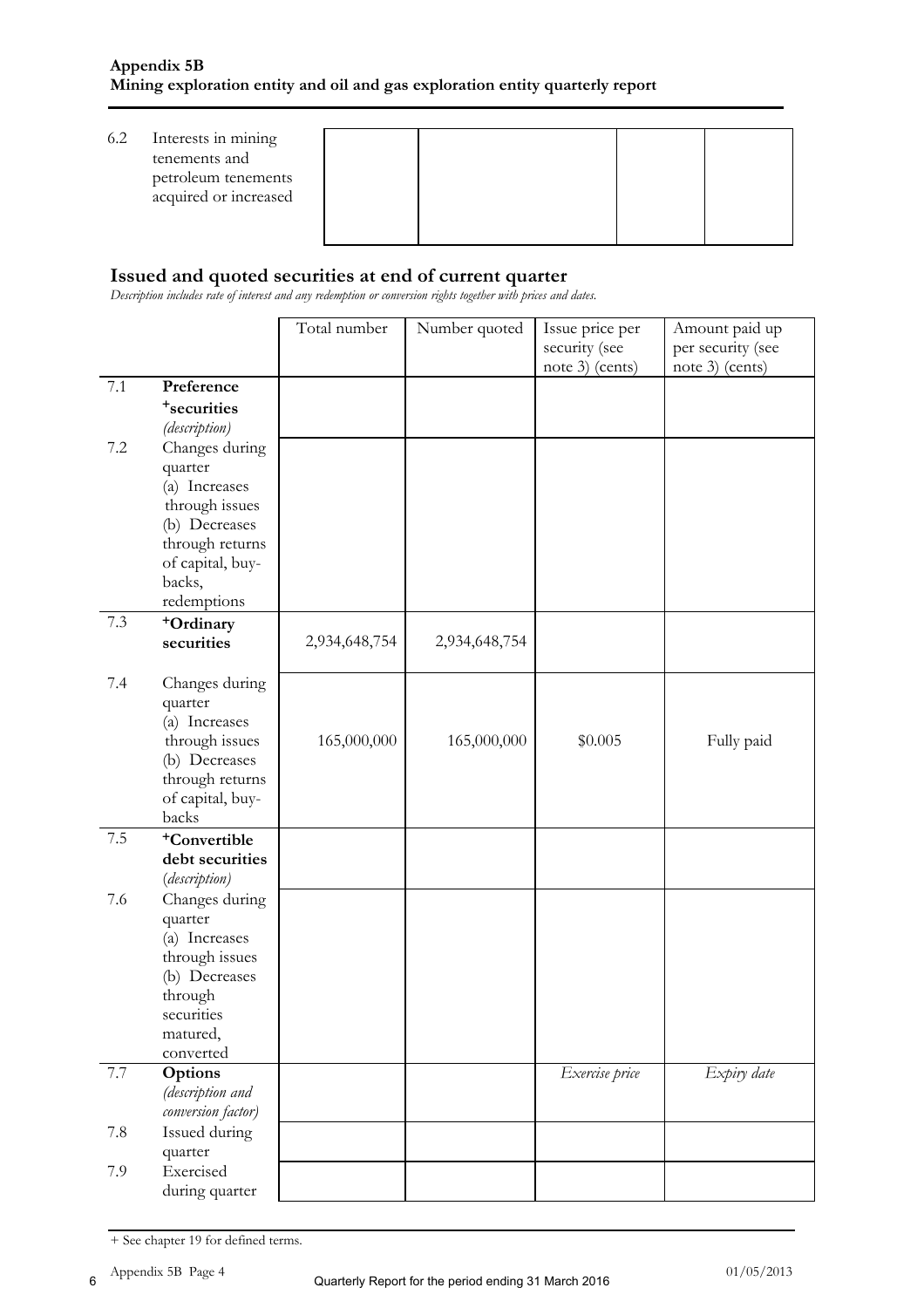| 6.2 | Interests in mining<br>tenements and<br>petroleum tenements<br>acquired or increased |  |  |
|-----|--------------------------------------------------------------------------------------|--|--|
|     |                                                                                      |  |  |

#### **Issued and quoted securities at end of current quarter**

*Description includes rate of interest and any redemption or conversion rights together with prices and dates.* 

|         |                          | Total number  | Number quoted | Issue price per | Amount paid up    |
|---------|--------------------------|---------------|---------------|-----------------|-------------------|
|         |                          |               |               | security (see   | per security (see |
|         |                          |               |               | note 3) (cents) | note 3) (cents)   |
| 7.1     | Preference               |               |               |                 |                   |
|         | <sup>+</sup> securities  |               |               |                 |                   |
|         | (description)            |               |               |                 |                   |
| $7.2\,$ | Changes during           |               |               |                 |                   |
|         | quarter                  |               |               |                 |                   |
|         | (a) Increases            |               |               |                 |                   |
|         | through issues           |               |               |                 |                   |
|         | (b) Decreases            |               |               |                 |                   |
|         | through returns          |               |               |                 |                   |
|         | of capital, buy-         |               |               |                 |                   |
|         | backs,                   |               |               |                 |                   |
|         | redemptions              |               |               |                 |                   |
| 7.3     | +Ordinary                |               |               |                 |                   |
|         | securities               | 2,934,648,754 | 2,934,648,754 |                 |                   |
|         |                          |               |               |                 |                   |
| 7.4     | Changes during           |               |               |                 |                   |
|         | quarter                  |               |               |                 |                   |
|         | (a) Increases            |               |               |                 |                   |
|         | through issues           | 165,000,000   | 165,000,000   | \$0.005         | Fully paid        |
|         | (b) Decreases            |               |               |                 |                   |
|         | through returns          |               |               |                 |                   |
|         | of capital, buy-         |               |               |                 |                   |
|         | backs                    |               |               |                 |                   |
| 7.5     | <sup>+</sup> Convertible |               |               |                 |                   |
|         | debt securities          |               |               |                 |                   |
|         | (description)            |               |               |                 |                   |
| 7.6     | Changes during           |               |               |                 |                   |
|         | quarter                  |               |               |                 |                   |
|         | (a) Increases            |               |               |                 |                   |
|         | through issues           |               |               |                 |                   |
|         | (b) Decreases            |               |               |                 |                   |
|         | through                  |               |               |                 |                   |
|         | securities               |               |               |                 |                   |
|         | matured,                 |               |               |                 |                   |
|         | converted                |               |               |                 |                   |
| 7.7     | Options                  |               |               | Exercise price  | Expiry date       |
|         | (description and         |               |               |                 |                   |
|         | conversion factor)       |               |               |                 |                   |
| 7.8     | Issued during            |               |               |                 |                   |
|         | quarter                  |               |               |                 |                   |
| 7.9     | Exercised                |               |               |                 |                   |
|         | during quarter           |               |               |                 |                   |

<sup>+</sup> See chapter 19 for defined terms.